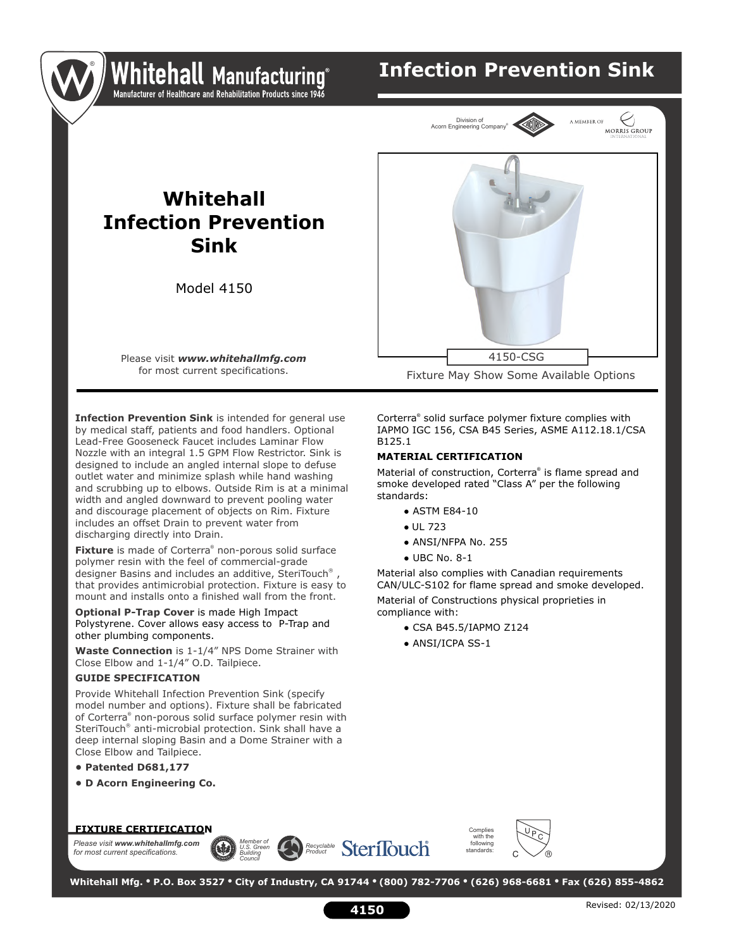# Manufacturer of Healthcare and Rehabilitation Products since 1946

**Whitehall Manufacturing Enfection Prevention Sink** 

# **Whitehall Infection Prevention Sink**

Model 4150

Please visit *www.whitehallmfg.com* for most current specifications.

**Infection Prevention Sink** is intended for general use by medical staff, patients and food handlers. Optional Lead-Free Gooseneck Faucet includes Laminar Flow Nozzle with an integral 1.5 GPM Flow Restrictor. Sink is designed to include an angled internal slope to defuse outlet water and minimize splash while hand washing and scrubbing up to elbows. Outside Rim is at a minimal width and angled downward to prevent pooling water and discourage placement of objects on Rim. Fixture includes an offset Drain to prevent water from discharging directly into Drain.

Fixture is made of Corterra<sup>®</sup> non-porous solid surface polymer resin with the feel of commercial-grade designer Basins and includes an additive, SteriTouch<sup>®</sup>, that provides antimicrobial protection. Fixture is easy to mount and installs onto a finished wall from the front.

**Optional P-Trap Cover** is made High Impact Polystyrene. Cover allows easy access to P-Trap and other plumbing components.

**Waste Connection** is 1-1/4" NPS Dome Strainer with Close Elbow and 1-1/4" O.D. Tailpiece.

### **GUIDE SPECIFICATION**

Provide Whitehall Infection Prevention Sink (specify model number and options). Fixture shall be fabricated of Corterra® non-porous solid surface polymer resin with SteriTouch<sup>®</sup> anti-microbial protection. Sink shall have a deep internal sloping Basin and a Dome Strainer with a Close Elbow and Tailpiece.

- **Patented D681,177**
- **D Acorn Engineering Co.**

A MEMBER OF Division of ® Acorn Engineering Company MORRIS GROUP 4150-CSG Fixture May Show Some Available Options

Corterra<sup>®</sup> solid surface polymer fixture complies with IAPMO IGC 156, CSA B45 Series, ASME A112.18.1/CSA B125.1

### **MATERIAL CERTIFICATION**

Material of construction, Corterra® is flame spread and smoke developed rated "Class A" per the following standards:

- ASTM E84-10
- UL 723
- ANSI/NFPA No. 255
- UBC No. 8-1

Material also complies with Canadian requirements CAN/ULC-S102 for flame spread and smoke developed. Material of Constructions physical proprieties in compliance with:

● CSA B45.5/IAPMO Z124

Complies with the following standards:

• ANSI/ICPA SS-1



Whitehall Mfg. • P.O. Box 3527 • City of Industry, CA 91744 • (800) 782-7706 • (626) 968-6681 • Fax (626) 855-4862

**4150**